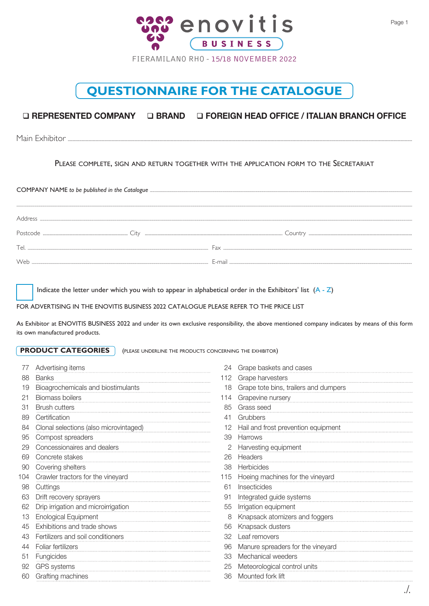

## **QUESTIONNAIRE FOR THE CATALOGUE**

## $\Box$  REPRESENTED COMPANY  $\Box$  BRAND  $\Box$  FOREIGN HEAD OFFICE / ITALIAN BRANCH OFFICE

Main Exhibitor ............................................................................................................................................................................................................................................................................................................

Please complete, sign and return together with the application form to the Secretariat

COMPANY NAME *to be published in the Catalogue* ................................................................................................................................................................................................................................................................. .................................................................................................................................................................................................................................................................................................................................................................................................... Address ............................................................................................................................................................................................................................................................................................................................................................................. Postcode .......................................................................... City ........................................................................................................................ Country .......................................................................................... Tel. ................................................................................................................................................................................. Fax ......................................................................................................................................................................................... Web ............................................................................................................................................................................. E-mail ...................................................................................................................................................................................

Indicate the letter under which you wish to appear in alphabetical order in the Exhibitors' list  $(A - Z)$ 

FOR ADVERTISING IN THE ENOVITIS BUSINESS 2022 CATALOGUE PLEASE REFER TO THE PRICE LIST

As Exhibitor at ENOVITIS BUSINESS 2022 and under its own exclusive responsibility, the above mentioned company indicates by means of this form its own manufactured products.

**PRODUCT CATEGORIES** (PLEASE UNDERLINE THE PRODUCTS CONCERNING THE EXHIBITOR)

| 77  | Advertising items                      | 24  | Grape baskets and cases               |
|-----|----------------------------------------|-----|---------------------------------------|
| 88  | <b>Banks</b>                           | 112 | Grape harvesters                      |
| 19  | Bioagrochemicals and biostimulants     | 18  | Grape tote bins, trailers and dumpers |
| 21  | <b>Biomass boilers</b>                 | 114 | Grapevine nursery                     |
| 31  | <b>Brush cutters</b>                   | 85  | Grass seed                            |
| 89  | Certification                          | 41  | Grubbers                              |
| 84  | Clonal selections (also microvintaged) | 12  | Hail and frost prevention equipment   |
| 95  | Compost spreaders                      | 39  | Harrows                               |
| 29  | Concessionaires and dealers            | 2   | Harvesting equipment                  |
| 69  | Concrete stakes                        | 26  | Headers                               |
| 90  | Covering shelters                      | 38  | Herbicides                            |
| 104 | Crawler tractors for the vineyard      | 115 | Hoeing machines for the vineyard      |
| 98  | Cuttings                               | 61  | Insecticides                          |
| 63  | Drift recovery sprayers                | 91  | Integrated guide systems              |
| 62  | Drip irrigation and microirrigation    | 55  | Irrigation equipment                  |
| 13  | <b>Enological Equipment</b>            | 8   | Knapsack atomizers and foggers        |
| 45  | Exhibitions and trade shows            | 56  | Knapsack dusters                      |
| 43  | Fertilizers and soil conditioners      | 32  | Leaf removers                         |
| 44  | Foliar fertilizers                     | 96  | Manure spreaders for the vineyard     |
| 51  | Fungicides                             | 33  | Mechanical weeders                    |
| 92  | <b>GPS</b> systems                     | 25  | Meteorological control units          |
| 60  | Grafting machines                      | 36  | Mounted fork lift                     |
|     |                                        |     |                                       |